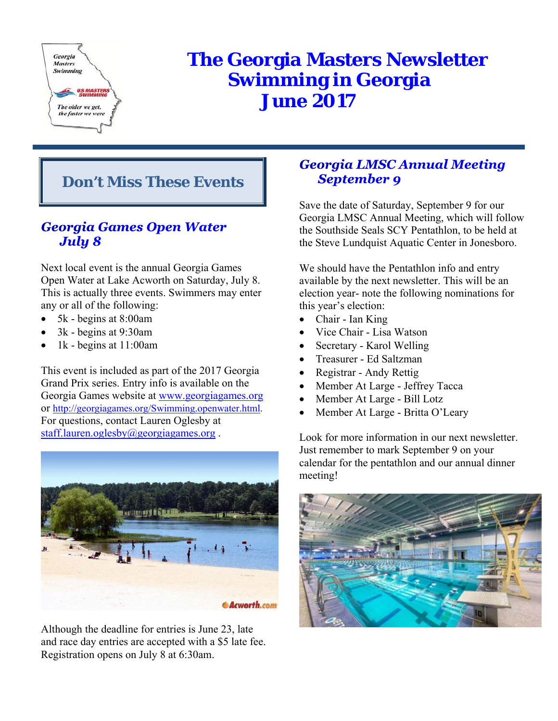

# **The Georgia Masters Newsletter Swimming in Georgia June 2017**

## **Don't Miss These Events**

## **Georgia Games Open Water** July 8

Next local event is the annual Georgia Games Open Water at Lake Acworth on Saturday, July 8. This is actually three events. Swimmers may enter any or all of the following:

- 5k begins at 8:00am
- 3k begins at 9:30am
- 1k begins at 11:00am

This event is included as part of the 2017 Georgia Grand Prix series. Entry info is available on the Georgia Games website at www.georgiagames.org or http://georgiagames.org/Swimming.openwater.html. For questions, contact Lauren Oglesby at staff.lauren.oglesby@georgiagames.org.



Although the deadline for entries is June 23, late and race day entries are accepted with a \$5 late fee. Registration opens on July 8 at 6:30am.

## **Georgia LMSC Annual Meeting September 9**

Save the date of Saturday, September 9 for our Georgia LMSC Annual Meeting, which will follow the Southside Seals SCY Pentathlon, to be held at the Steve Lundquist Aquatic Center in Jonesboro.

We should have the Pentathlon info and entry available by the next newsletter. This will be an election year- note the following nominations for this year's election:

- Chair Ian King
- Vice Chair Lisa Watson
- Secretary Karol Welling
- Treasurer Ed Saltzman
- Registrar Andy Rettig
- Member At Large Jeffrey Tacca
- Member At Large Bill Lotz
- Member At Large Britta O'Leary

Look for more information in our next newsletter. Just remember to mark September 9 on your calendar for the pentathlon and our annual dinner meeting!

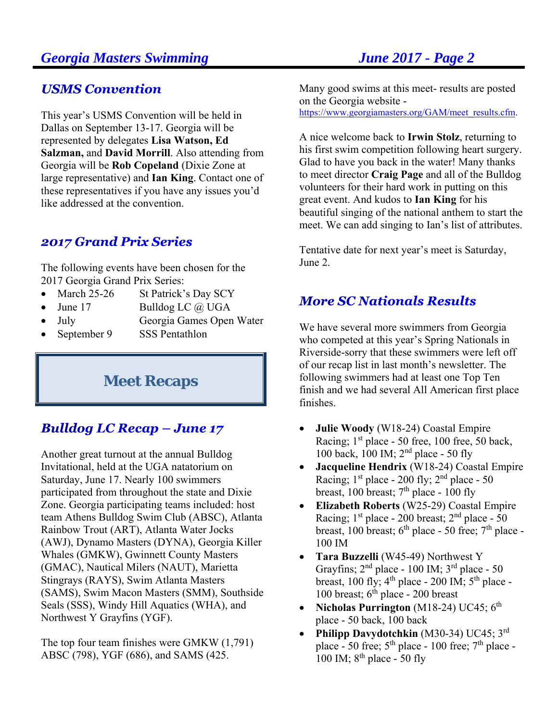## **USMS Convention**

This year's USMS Convention will be held in Dallas on September 13-17. Georgia will be represented by delegates **Lisa Watson, Ed Salzman,** and **David Morrill**. Also attending from Georgia will be **Rob Copeland** (Dixie Zone at large representative) and **Ian King**. Contact one of these representatives if you have any issues you'd like addressed at the convention.

## **2017 Grand Prix Series**

The following events have been chosen for the 2017 Georgia Grand Prix Series:

- March 25-26 St Patrick's Day SCY
- June 17 Bulldog LC  $\omega$  UGA
- July Georgia Games Open Water
- September 9 SSS Pentathlon

## **Meet Recaps**

## **Bulldog LC Recap - June 17**

Another great turnout at the annual Bulldog Invitational, held at the UGA natatorium on Saturday, June 17. Nearly 100 swimmers participated from throughout the state and Dixie Zone. Georgia participating teams included: host team Athens Bulldog Swim Club (ABSC), Atlanta Rainbow Trout (ART), Atlanta Water Jocks (AWJ), Dynamo Masters (DYNA), Georgia Killer Whales (GMKW), Gwinnett County Masters (GMAC), Nautical Milers (NAUT), Marietta Stingrays (RAYS), Swim Atlanta Masters (SAMS), Swim Macon Masters (SMM), Southside Seals (SSS), Windy Hill Aquatics (WHA), and Northwest Y Grayfins (YGF).

The top four team finishes were GMKW (1,791) ABSC (798), YGF (686), and SAMS (425.

Many good swims at this meet- results are posted on the Georgia website https://www.georgiamasters.org/GAM/meet\_results.cfm.

A nice welcome back to **Irwin Stolz**, returning to his first swim competition following heart surgery. Glad to have you back in the water! Many thanks to meet director **Craig Page** and all of the Bulldog volunteers for their hard work in putting on this great event. And kudos to **Ian King** for his beautiful singing of the national anthem to start the meet. We can add singing to Ian's list of attributes.

Tentative date for next year's meet is Saturday, June 2.

## **More SC Nationals Results**

We have several more swimmers from Georgia who competed at this year's Spring Nationals in Riverside-sorry that these swimmers were left off of our recap list in last month's newsletter. The following swimmers had at least one Top Ten finish and we had several All American first place finishes.

- **Julie Woody** (W18-24) Coastal Empire Racing;  $1<sup>st</sup>$  place - 50 free, 100 free, 50 back, 100 back, 100 IM; 2nd place - 50 fly
- **Jacqueline Hendrix** (W18-24) Coastal Empire Racing;  $1<sup>st</sup>$  place - 200 fly;  $2<sup>nd</sup>$  place - 50 breast, 100 breast;  $7<sup>th</sup>$  place - 100 fly
- **Elizabeth Roberts** (W25-29) Coastal Empire Racing;  $1<sup>st</sup>$  place - 200 breast;  $2<sup>nd</sup>$  place - 50 breast, 100 breast;  $6<sup>th</sup>$  place - 50 free;  $7<sup>th</sup>$  place -100 IM
- **Tara Buzzelli** (W45-49) Northwest Y Grayfins; 2nd place - 100 IM; 3rd place - 50 breast, 100 fly;  $4^{th}$  place - 200 IM;  $5^{th}$  place -100 breast;  $6<sup>th</sup>$  place - 200 breast
- Nicholas Purrington  $(M18-24)$  UC45;  $6<sup>th</sup>$ place - 50 back, 100 back
- **Philipp Davydotchkin** (M30-34) UC45; 3<sup>rd</sup> place - 50 free;  $5<sup>th</sup>$  place - 100 free;  $7<sup>th</sup>$  place -100 IM;  $8^{th}$  place - 50 fly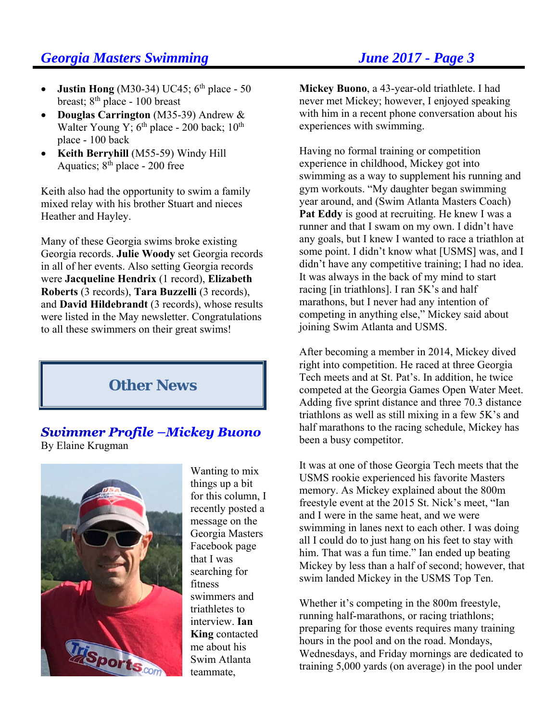- **Justin Hong** (M30-34) UC45;  $6<sup>th</sup>$  place 50 breast; 8<sup>th</sup> place - 100 breast
- **Douglas Carrington** (M35-39) Andrew & Walter Young Y; 6<sup>th</sup> place - 200 back; 10<sup>th</sup> place - 100 back
- **Keith Berryhill** (M55-59) Windy Hill Aquatics; 8<sup>th</sup> place - 200 free

Keith also had the opportunity to swim a family mixed relay with his brother Stuart and nieces Heather and Hayley.

Many of these Georgia swims broke existing Georgia records. **Julie Woody** set Georgia records in all of her events. Also setting Georgia records were **Jacqueline Hendrix** (1 record), **Elizabeth Roberts** (3 records), **Tara Buzzelli** (3 records), and **David Hildebrandt** (3 records), whose results were listed in the May newsletter. Congratulations to all these swimmers on their great swims!

## **Other News**

### **Swimmer Profile -Mickey Buono** By Elaine Krugman



Wanting to mix things up a bit for this column, I recently posted a message on the Georgia Masters Facebook page that I was searching for fitness swimmers and triathletes to interview. **Ian King** contacted me about his Swim Atlanta teammate,

**Mickey Buono**, a 43-year-old triathlete. I had never met Mickey; however, I enjoyed speaking with him in a recent phone conversation about his experiences with swimming.

Having no formal training or competition experience in childhood, Mickey got into swimming as a way to supplement his running and gym workouts. "My daughter began swimming year around, and (Swim Atlanta Masters Coach) **Pat Eddy** is good at recruiting. He knew I was a runner and that I swam on my own. I didn't have any goals, but I knew I wanted to race a triathlon at some point. I didn't know what [USMS] was, and I didn't have any competitive training; I had no idea. It was always in the back of my mind to start racing [in triathlons]. I ran 5K's and half marathons, but I never had any intention of competing in anything else," Mickey said about joining Swim Atlanta and USMS.

After becoming a member in 2014, Mickey dived right into competition. He raced at three Georgia Tech meets and at St. Pat's. In addition, he twice competed at the Georgia Games Open Water Meet. Adding five sprint distance and three 70.3 distance triathlons as well as still mixing in a few 5K's and half marathons to the racing schedule, Mickey has been a busy competitor.

It was at one of those Georgia Tech meets that the USMS rookie experienced his favorite Masters memory. As Mickey explained about the 800m freestyle event at the 2015 St. Nick's meet, "Ian and I were in the same heat, and we were swimming in lanes next to each other. I was doing all I could do to just hang on his feet to stay with him. That was a fun time." Ian ended up beating Mickey by less than a half of second; however, that swim landed Mickey in the USMS Top Ten.

Whether it's competing in the 800m freestyle, running half-marathons, or racing triathlons; preparing for those events requires many training hours in the pool and on the road. Mondays, Wednesdays, and Friday mornings are dedicated to training 5,000 yards (on average) in the pool under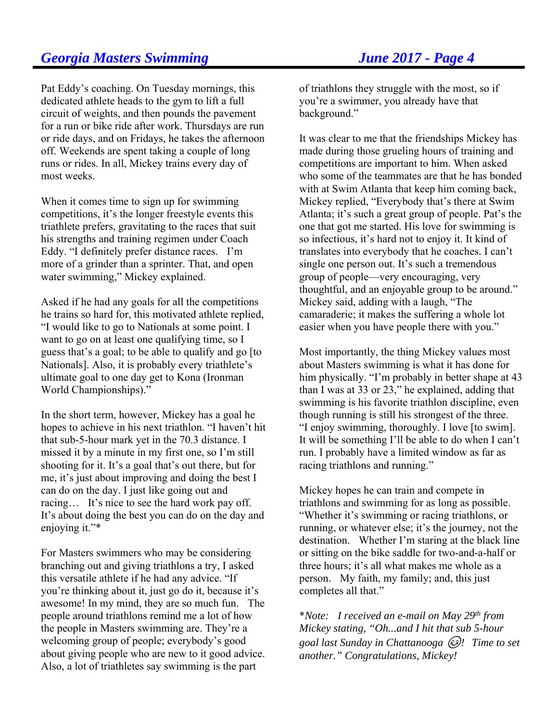Pat Eddy's coaching. On Tuesday mornings, this dedicated athlete heads to the gym to lift a full circuit of weights, and then pounds the pavement for a run or bike ride after work. Thursdays are run or ride days, and on Fridays, he takes the afternoon off. Weekends are spent taking a couple of long runs or rides. In all, Mickey trains every day of most weeks.

When it comes time to sign up for swimming competitions, it's the longer freestyle events this triathlete prefers, gravitating to the races that suit his strengths and training regimen under Coach Eddy. "I definitely prefer distance races. I'm more of a grinder than a sprinter. That, and open water swimming," Mickey explained.

Asked if he had any goals for all the competitions he trains so hard for, this motivated athlete replied, "I would like to go to Nationals at some point. I want to go on at least one qualifying time, so I guess that's a goal; to be able to qualify and go [to Nationals]. Also, it is probably every triathlete's ultimate goal to one day get to Kona (Ironman World Championships)."

In the short term, however, Mickey has a goal he hopes to achieve in his next triathlon. "I haven't hit that sub-5-hour mark yet in the 70.3 distance. I missed it by a minute in my first one, so I'm still shooting for it. It's a goal that's out there, but for me, it's just about improving and doing the best I can do on the day. I just like going out and racing… It's nice to see the hard work pay off. It's about doing the best you can do on the day and enjoying it."\*

For Masters swimmers who may be considering branching out and giving triathlons a try, I asked this versatile athlete if he had any advice. "If you're thinking about it, just go do it, because it's awesome! In my mind, they are so much fun. The people around triathlons remind me a lot of how the people in Masters swimming are. They're a welcoming group of people; everybody's good about giving people who are new to it good advice. Also, a lot of triathletes say swimming is the part

of triathlons they struggle with the most, so if you're a swimmer, you already have that background."

It was clear to me that the friendships Mickey has made during those grueling hours of training and competitions are important to him. When asked who some of the teammates are that he has bonded with at Swim Atlanta that keep him coming back, Mickey replied, "Everybody that's there at Swim Atlanta; it's such a great group of people. Pat's the one that got me started. His love for swimming is so infectious, it's hard not to enjoy it. It kind of translates into everybody that he coaches. I can't single one person out. It's such a tremendous group of people—very encouraging, very thoughtful, and an enjoyable group to be around." Mickey said, adding with a laugh, "The camaraderie; it makes the suffering a whole lot easier when you have people there with you."

Most importantly, the thing Mickey values most about Masters swimming is what it has done for him physically. "I'm probably in better shape at 43 than I was at 33 or 23," he explained, adding that swimming is his favorite triathlon discipline, even though running is still his strongest of the three. "I enjoy swimming, thoroughly. I love [to swim]. It will be something I'll be able to do when I can't run. I probably have a limited window as far as racing triathlons and running."

Mickey hopes he can train and compete in triathlons and swimming for as long as possible. "Whether it's swimming or racing triathlons, or running, or whatever else; it's the journey, not the destination. Whether I'm staring at the black line or sitting on the bike saddle for two-and-a-half or three hours; it's all what makes me whole as a person. My faith, my family; and, this just completes all that."

\**Note: I received an e-mail on May 29th from Mickey stating, "Oh...and I hit that sub 5-hour goal last Sunday in Chattanooga ! Time to set another." Congratulations, Mickey!*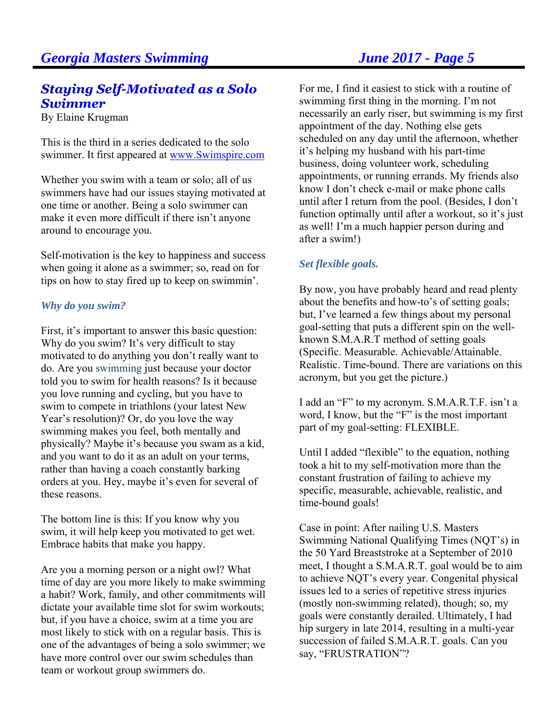## **Staying Self-Motivated as a Solo Swimmer**

By Elaine Krugman

This is the third in a series dedicated to the solo swimmer. It first appeared at www.Swimspire.com

Whether you swim with a team or solo; all of us swimmers have had our issues staying motivated at one time or another. Being a solo swimmer can make it even more difficult if there isn't anyone around to encourage you.

Self-motivation is the key to happiness and success when going it alone as a swimmer; so, read on for tips on how to stay fired up to keep on swimmin'.

### *Why do you swim?*

First, it's important to answer this basic question: Why do you swim? It's very difficult to stay motivated to do anything you don't really want to do. Are you swimming just because your doctor told you to swim for health reasons? Is it because you love running and cycling, but you have to swim to compete in triathlons (your latest New Year's resolution)? Or, do you love the way swimming makes you feel, both mentally and physically? Maybe it's because you swam as a kid, and you want to do it as an adult on your terms, rather than having a coach constantly barking orders at you. Hey, maybe it's even for several of these reasons.

The bottom line is this: If you know why you swim, it will help keep you motivated to get wet. Embrace habits that make you happy.

Are you a morning person or a night owl? What time of day are you more likely to make swimming a habit? Work, family, and other commitments will dictate your available time slot for swim workouts; but, if you have a choice, swim at a time you are most likely to stick with on a regular basis. This is one of the advantages of being a solo swimmer; we have more control over our swim schedules than team or workout group swimmers do.

For me, I find it easiest to stick with a routine of swimming first thing in the morning. I'm not necessarily an early riser, but swimming is my first appointment of the day. Nothing else gets scheduled on any day until the afternoon, whether it's helping my husband with his part-time business, doing volunteer work, scheduling appointments, or running errands. My friends also know I don't check e-mail or make phone calls until after I return from the pool. (Besides, I don't function optimally until after a workout, so it's just as well! I'm a much happier person during and after a swim!)

### *Set flexible goals.*

By now, you have probably heard and read plenty about the benefits and how-to's of setting goals; but, I've learned a few things about my personal goal-setting that puts a different spin on the wellknown S.M.A.R.T method of setting goals (Specific. Measurable. Achievable/Attainable. Realistic. Time-bound. There are variations on this acronym, but you get the picture.)

I add an "F" to my acronym. S.M.A.R.T.F. isn't a word, I know, but the "F" is the most important part of my goal-setting: FLEXIBLE.

Until I added "flexible" to the equation, nothing took a hit to my self-motivation more than the constant frustration of failing to achieve my specific, measurable, achievable, realistic, and time-bound goals!

Case in point: After nailing U.S. Masters Swimming National Qualifying Times (NQT's) in the 50 Yard Breaststroke at a September of 2010 meet, I thought a S.M.A.R.T. goal would be to aim to achieve NQT's every year. Congenital physical issues led to a series of repetitive stress injuries (mostly non-swimming related), though; so, my goals were constantly derailed. Ultimately, I had hip surgery in late 2014, resulting in a multi-year succession of failed S.M.A.R.T. goals. Can you say, "FRUSTRATION"?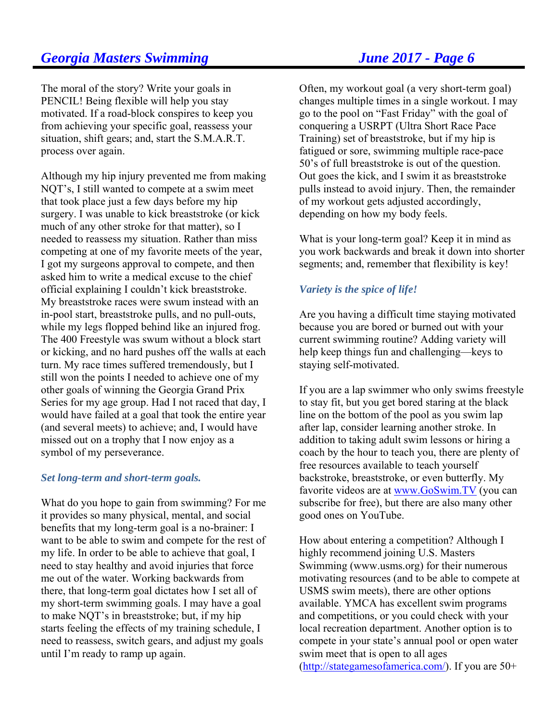The moral of the story? Write your goals in PENCIL! Being flexible will help you stay motivated. If a road-block conspires to keep you from achieving your specific goal, reassess your situation, shift gears; and, start the S.M.A.R.T. process over again.

Although my hip injury prevented me from making NQT's, I still wanted to compete at a swim meet that took place just a few days before my hip surgery. I was unable to kick breaststroke (or kick much of any other stroke for that matter), so I needed to reassess my situation. Rather than miss competing at one of my favorite meets of the year, I got my surgeons approval to compete, and then asked him to write a medical excuse to the chief official explaining I couldn't kick breaststroke. My breaststroke races were swum instead with an in-pool start, breaststroke pulls, and no pull-outs, while my legs flopped behind like an injured frog. The 400 Freestyle was swum without a block start or kicking, and no hard pushes off the walls at each turn. My race times suffered tremendously, but I still won the points I needed to achieve one of my other goals of winning the Georgia Grand Prix Series for my age group. Had I not raced that day, I would have failed at a goal that took the entire year (and several meets) to achieve; and, I would have missed out on a trophy that I now enjoy as a symbol of my perseverance.

### *Set long-term and short-term goals.*

What do you hope to gain from swimming? For me it provides so many physical, mental, and social benefits that my long-term goal is a no-brainer: I want to be able to swim and compete for the rest of my life. In order to be able to achieve that goal, I need to stay healthy and avoid injuries that force me out of the water. Working backwards from there, that long-term goal dictates how I set all of my short-term swimming goals. I may have a goal to make NQT's in breaststroke; but, if my hip starts feeling the effects of my training schedule, I need to reassess, switch gears, and adjust my goals until I'm ready to ramp up again.

Often, my workout goal (a very short-term goal) changes multiple times in a single workout. I may go to the pool on "Fast Friday" with the goal of conquering a USRPT (Ultra Short Race Pace Training) set of breaststroke, but if my hip is fatigued or sore, swimming multiple race-pace 50's of full breaststroke is out of the question. Out goes the kick, and I swim it as breaststroke pulls instead to avoid injury. Then, the remainder of my workout gets adjusted accordingly, depending on how my body feels.

What is your long-term goal? Keep it in mind as you work backwards and break it down into shorter segments; and, remember that flexibility is key!

### *Variety is the spice of life!*

Are you having a difficult time staying motivated because you are bored or burned out with your current swimming routine? Adding variety will help keep things fun and challenging—keys to staying self-motivated.

If you are a lap swimmer who only swims freestyle to stay fit, but you get bored staring at the black line on the bottom of the pool as you swim lap after lap, consider learning another stroke. In addition to taking adult swim lessons or hiring a coach by the hour to teach you, there are plenty of free resources available to teach yourself backstroke, breaststroke, or even butterfly. My favorite videos are at www.GoSwim.TV (you can subscribe for free), but there are also many other good ones on YouTube.

How about entering a competition? Although I highly recommend joining U.S. Masters Swimming (www.usms.org) for their numerous motivating resources (and to be able to compete at USMS swim meets), there are other options available. YMCA has excellent swim programs and competitions, or you could check with your local recreation department. Another option is to compete in your state's annual pool or open water swim meet that is open to all ages (http://stategamesofamerica.com/). If you are 50+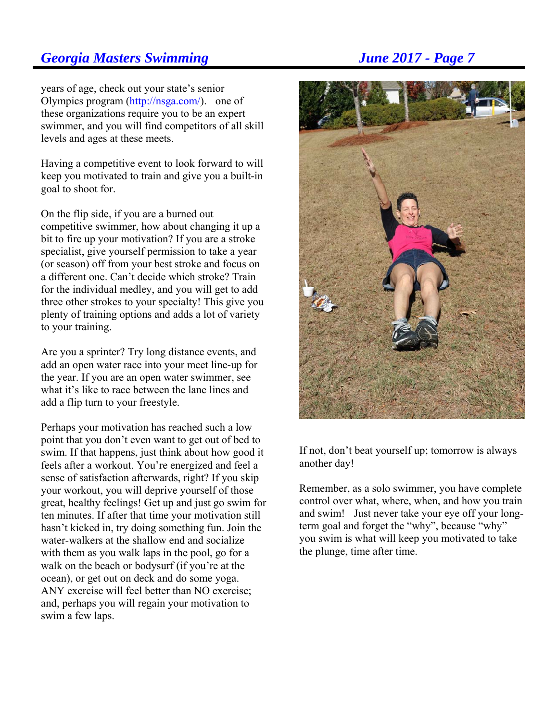years of age, check out your state's senior Olympics program (http://nsga.com/). one of these organizations require you to be an expert swimmer, and you will find competitors of all skill levels and ages at these meets.

Having a competitive event to look forward to will keep you motivated to train and give you a built-in goal to shoot for.

On the flip side, if you are a burned out competitive swimmer, how about changing it up a bit to fire up your motivation? If you are a stroke specialist, give yourself permission to take a year (or season) off from your best stroke and focus on a different one. Can't decide which stroke? Train for the individual medley, and you will get to add three other strokes to your specialty! This give you plenty of training options and adds a lot of variety to your training.

Are you a sprinter? Try long distance events, and add an open water race into your meet line-up for the year. If you are an open water swimmer, see what it's like to race between the lane lines and add a flip turn to your freestyle.

Perhaps your motivation has reached such a low point that you don't even want to get out of bed to swim. If that happens, just think about how good it feels after a workout. You're energized and feel a sense of satisfaction afterwards, right? If you skip your workout, you will deprive yourself of those great, healthy feelings! Get up and just go swim for ten minutes. If after that time your motivation still hasn't kicked in, try doing something fun. Join the water-walkers at the shallow end and socialize with them as you walk laps in the pool, go for a walk on the beach or bodysurf (if you're at the ocean), or get out on deck and do some yoga. ANY exercise will feel better than NO exercise; and, perhaps you will regain your motivation to swim a few laps.



If not, don't beat yourself up; tomorrow is always another day!

Remember, as a solo swimmer, you have complete control over what, where, when, and how you train and swim! Just never take your eye off your longterm goal and forget the "why", because "why" you swim is what will keep you motivated to take the plunge, time after time.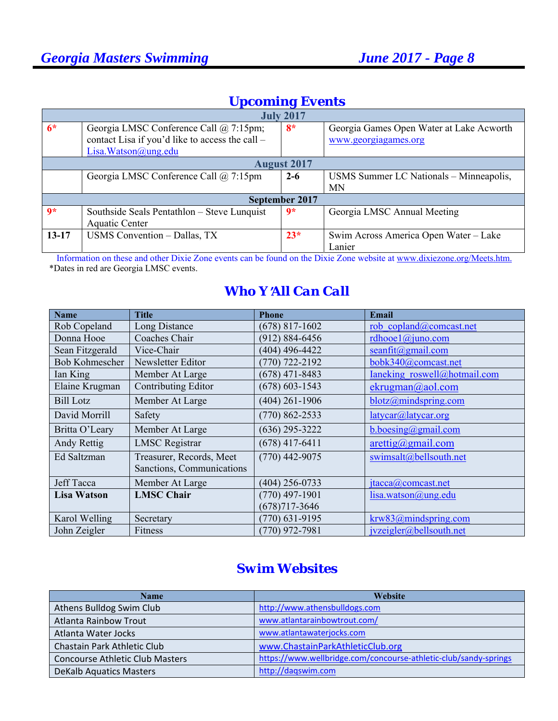| <b>Upcoming Events</b> |
|------------------------|
|------------------------|

| <b>July 2017</b>   |                                                                                                                        |         |                                                                  |  |
|--------------------|------------------------------------------------------------------------------------------------------------------------|---------|------------------------------------------------------------------|--|
| $6*$               | Georgia LMSC Conference Call @ 7:15pm;<br>contact Lisa if you'd like to access the call –<br>Lisa. Watson $@$ ung. edu | $8*$    | Georgia Games Open Water at Lake Acworth<br>www.georgiagames.org |  |
| <b>August 2017</b> |                                                                                                                        |         |                                                                  |  |
|                    | Georgia LMSC Conference Call @ 7:15pm                                                                                  | $2 - 6$ | USMS Summer LC Nationals - Minneapolis,                          |  |
|                    |                                                                                                                        |         | <b>MN</b>                                                        |  |
| September 2017     |                                                                                                                        |         |                                                                  |  |
| $\mathbf{Q}$ *     | Southside Seals Pentathlon - Steve Lunquist<br><b>Aquatic Center</b>                                                   | $9*$    | Georgia LMSC Annual Meeting                                      |  |
| $13 - 17$          | USMS Convention - Dallas, TX                                                                                           | $23*$   | Swim Across America Open Water – Lake                            |  |
|                    |                                                                                                                        |         | Lanier                                                           |  |

 Information on these and other Dixie Zone events can be found on the Dixie Zone website at www.dixiezone.org/Meets.htm. \*Dates in red are Georgia LMSC events.

## *Who Y*=*All Can Call*

| <b>Name</b>           | <b>Title</b>              | <b>Phone</b>       | <b>Email</b>                       |
|-----------------------|---------------------------|--------------------|------------------------------------|
| Rob Copeland          | Long Distance             | $(678)$ 817-1602   | rob copland@comcast.net            |
| Donna Hooe            | Coaches Chair             | $(912) 884 - 6456$ | rdhooe $1$ @juno.com               |
| Sean Fitzgerald       | Vice-Chair                | $(404)$ 496-4422   | seanfit@gmail.com                  |
| <b>Bob Kohmescher</b> | Newsletter Editor         | $(770)$ 722-2192   | bobk340@comcast.net                |
| Ian King              | Member At Large           | $(678)$ 471-8483   | Ianeking roswell@hotmail.com       |
| Elaine Krugman        | Contributing Editor       | $(678) 603 - 1543$ | ekrugman@aol.com                   |
| <b>Bill Lotz</b>      | Member At Large           | $(404)$ 261-1906   | blotz@mindspring.com               |
| David Morrill         | Safety                    | $(770) 862 - 2533$ | latycar@latycar.org                |
| Britta O'Leary        | Member At Large           | $(636)$ 295-3222   | b.boesing@gmail.com                |
| Andy Rettig           | <b>LMSC</b> Registrar     | $(678)$ 417-6411   | $\arcti\frac{g}{\omega}$ gmail.com |
| Ed Saltzman           | Treasurer, Records, Meet  | $(770)$ 442-9075   | swimsalt@bellsouth.net             |
|                       | Sanctions, Communications |                    |                                    |
| <b>Jeff Tacca</b>     | Member At Large           | $(404)$ 256-0733   | jtacca@comcast.net                 |
| <b>Lisa Watson</b>    | <b>LMSC Chair</b>         | $(770)$ 497-1901   | lisa.watson@ung.edu                |
|                       |                           | $(678)717 - 3646$  |                                    |
| Karol Welling         | Secretary                 | $(770)$ 631-9195   | krw83@mindspring.com               |
| John Zeigler          | Fitness                   | $(770)$ 972-7981   | ivzeigler@bellsouth.net            |

## *Swim Websites*

| <b>Name</b>                            | <b>Website</b>                                                   |
|----------------------------------------|------------------------------------------------------------------|
| Athens Bulldog Swim Club               | http://www.athensbulldogs.com                                    |
| Atlanta Rainbow Trout                  | www.atlantarainbowtrout.com/                                     |
| Atlanta Water Jocks                    | www.atlantawaterjocks.com                                        |
| Chastain Park Athletic Club            | www.ChastainParkAthleticClub.org                                 |
| <b>Concourse Athletic Club Masters</b> | https://www.wellbridge.com/concourse-athletic-club/sandy-springs |
| <b>DeKalb Aquatics Masters</b>         | http://daqswim.com                                               |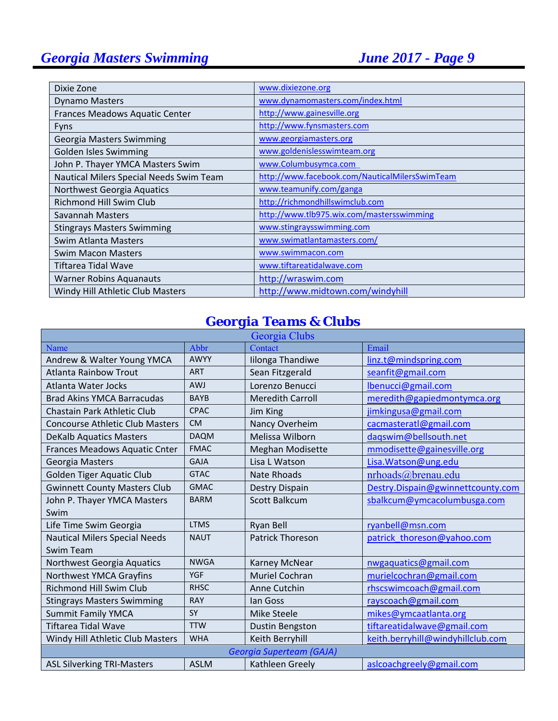| Dixie Zone                              | www.dixiezone.org                              |
|-----------------------------------------|------------------------------------------------|
| <b>Dynamo Masters</b>                   | www.dynamomasters.com/index.html               |
| Frances Meadows Aquatic Center          | http://www.gainesville.org                     |
| <b>Fyns</b>                             | http://www.fynsmasters.com                     |
| Georgia Masters Swimming                | www.georgiamasters.org                         |
| Golden Isles Swimming                   | www.goldenislesswimteam.org                    |
| John P. Thayer YMCA Masters Swim        | www.Columbusymca.com                           |
| Nautical Milers Special Needs Swim Team | http://www.facebook.com/NauticalMilersSwimTeam |
| Northwest Georgia Aquatics              | www.teamunify.com/ganga                        |
| <b>Richmond Hill Swim Club</b>          | http://richmondhillswimclub.com                |
| Savannah Masters                        | http://www.tlb975.wix.com/mastersswimming      |
| <b>Stingrays Masters Swimming</b>       | www.stingraysswimming.com                      |
| Swim Atlanta Masters                    | www.swimatlantamasters.com/                    |
| <b>Swim Macon Masters</b>               | www.swimmacon.com                              |
| Tiftarea Tidal Wave                     | www.tiftareatidalwave.com                      |
| <b>Warner Robins Aquanauts</b>          | http://wraswim.com                             |
| Windy Hill Athletic Club Masters        | http://www.midtown.com/windyhill               |

## *Georgia Teams & Clubs*

| Georgia Clubs                          |             |                         |                                   |
|----------------------------------------|-------------|-------------------------|-----------------------------------|
| Name                                   | Abbr        | Contact                 | Email                             |
| Andrew & Walter Young YMCA             | <b>AWYY</b> | Iilonga Thandiwe        | linz.t@mindspring.com             |
| <b>Atlanta Rainbow Trout</b>           | <b>ART</b>  | Sean Fitzgerald         | seanfit@gmail.com                 |
| Atlanta Water Jocks                    | <b>AWJ</b>  | Lorenzo Benucci         | lbenucci@gmail.com                |
| <b>Brad Akins YMCA Barracudas</b>      | <b>BAYB</b> | <b>Meredith Carroll</b> | meredith@gapiedmontymca.org       |
| Chastain Park Athletic Club            | <b>CPAC</b> | <b>Jim King</b>         | jimkingusa@gmail.com              |
| <b>Concourse Athletic Club Masters</b> | <b>CM</b>   | Nancy Overheim          | cacmasteratl@gmail.com            |
| <b>DeKalb Aquatics Masters</b>         | <b>DAQM</b> | Melissa Wilborn         | dagswim@bellsouth.net             |
| Frances Meadows Aquatic Cnter          | <b>FMAC</b> | <b>Meghan Modisette</b> | mmodisette@gainesville.org        |
| Georgia Masters                        | <b>GAJA</b> | Lisa L Watson           | Lisa. Watson@ung.edu              |
| Golden Tiger Aquatic Club              | <b>GTAC</b> | <b>Nate Rhoads</b>      | nrhoads@brenau.edu                |
| <b>Gwinnett County Masters Club</b>    | <b>GMAC</b> | Destry Dispain          | Destry.Dispain@gwinnettcounty.com |
| John P. Thayer YMCA Masters            | <b>BARM</b> | <b>Scott Balkcum</b>    | sbalkcum@ymcacolumbusga.com       |
| Swim                                   |             |                         |                                   |
| Life Time Swim Georgia                 | <b>LTMS</b> | Ryan Bell               | ryanbell@msn.com                  |
| <b>Nautical Milers Special Needs</b>   | <b>NAUT</b> | <b>Patrick Thoreson</b> | patrick_thoreson@yahoo.com        |
| <b>Swim Team</b>                       |             |                         |                                   |
| Northwest Georgia Aquatics             | <b>NWGA</b> | Karney McNear           | nwgaquatics@gmail.com             |
| Northwest YMCA Grayfins                | YGF         | <b>Muriel Cochran</b>   | murielcochran@gmail.com           |
| <b>Richmond Hill Swim Club</b>         | <b>RHSC</b> | Anne Cutchin            | rhscswimcoach@gmail.com           |
| <b>Stingrays Masters Swimming</b>      | <b>RAY</b>  | lan Goss                | rayscoach@gmail.com               |
| <b>Summit Family YMCA</b>              | SY          | <b>Mike Steele</b>      | mikes@ymcaatlanta.org             |
| <b>Tiftarea Tidal Wave</b>             | <b>TTW</b>  | Dustin Bengston         | tiftareatidalwave@gmail.com       |
| Windy Hill Athletic Club Masters       | <b>WHA</b>  | Keith Berryhill         | keith.berryhill@windyhillclub.com |
| <b>Georgia Superteam (GAJA)</b>        |             |                         |                                   |
| <b>ASL Silverking TRI-Masters</b>      | <b>ASLM</b> | Kathleen Greely         | aslcoachgreely@gmail.com          |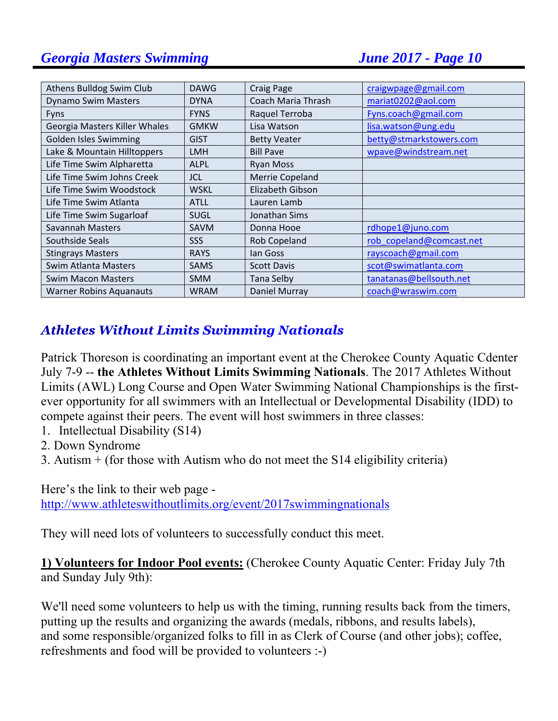| Athens Bulldog Swim Club       | <b>DAWG</b> | <b>Craig Page</b>   | craigwpage@gmail.com     |
|--------------------------------|-------------|---------------------|--------------------------|
| <b>Dynamo Swim Masters</b>     | <b>DYNA</b> | Coach Maria Thrash  | mariat0202@aol.com       |
| <b>Fyns</b>                    | <b>FYNS</b> | Raquel Terroba      | Fyns.coach@gmail.com     |
| Georgia Masters Killer Whales  | <b>GMKW</b> | Lisa Watson         | lisa.watson@ung.edu      |
| Golden Isles Swimming          | <b>GIST</b> | <b>Betty Veater</b> | betty@stmarkstowers.com  |
| Lake & Mountain Hilltoppers    | <b>LMH</b>  | <b>Bill Pave</b>    | wpave@windstream.net     |
| Life Time Swim Alpharetta      | <b>ALPL</b> | <b>Ryan Moss</b>    |                          |
| Life Time Swim Johns Creek     | <b>JCL</b>  | Merrie Copeland     |                          |
| Life Time Swim Woodstock       | <b>WSKL</b> | Elizabeth Gibson    |                          |
| Life Time Swim Atlanta         | <b>ATLL</b> | Lauren Lamb         |                          |
| Life Time Swim Sugarloaf       | <b>SUGL</b> | Jonathan Sims       |                          |
| Savannah Masters               | <b>SAVM</b> | Donna Hooe          | rdhope1@juno.com         |
| Southside Seals                | <b>SSS</b>  | Rob Copeland        | rob copeland@comcast.net |
| <b>Stingrays Masters</b>       | <b>RAYS</b> | lan Goss            | rayscoach@gmail.com      |
| Swim Atlanta Masters           | <b>SAMS</b> | <b>Scott Davis</b>  | scot@swimatlanta.com     |
| <b>Swim Macon Masters</b>      | <b>SMM</b>  | <b>Tana Selby</b>   | tanatanas@bellsouth.net  |
| <b>Warner Robins Aquanauts</b> | <b>WRAM</b> | Daniel Murray       | coach@wraswim.com        |

## **Athletes Without Limits Swimming Nationals**

Patrick Thoreson is coordinating an important event at the Cherokee County Aquatic Cdenter July 7-9 -- **the Athletes Without Limits Swimming Nationals**. The 2017 Athletes Without Limits (AWL) Long Course and Open Water Swimming National Championships is the firstever opportunity for all swimmers with an Intellectual or Developmental Disability (IDD) to compete against their peers. The event will host swimmers in three classes:

- 1. Intellectual Disability (S14)
- 2. Down Syndrome
- 3. Autism + (for those with Autism who do not meet the S14 eligibility criteria)

Here's the link to their web page -

http://www.athleteswithoutlimits.org/event/2017swimmingnationals

They will need lots of volunteers to successfully conduct this meet.

**1) Volunteers for Indoor Pool events:** (Cherokee County Aquatic Center: Friday July 7th and Sunday July 9th):

We'll need some volunteers to help us with the timing, running results back from the timers, putting up the results and organizing the awards (medals, ribbons, and results labels), and some responsible/organized folks to fill in as Clerk of Course (and other jobs); coffee, refreshments and food will be provided to volunteers :-)